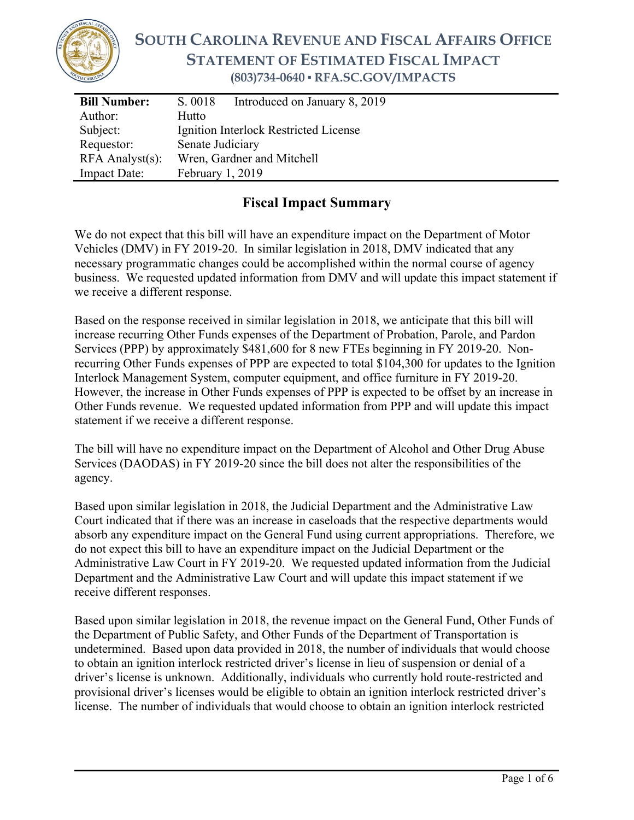

# **SOUTH CAROLINA REVENUE AND FISCAL AFFAIRS OFFICE STATEMENT OF ESTIMATED FISCAL IMPACT (803)734-0640 ▪ RFA.SC.GOV/IMPACTS**

| <b>Bill Number:</b>   | Introduced on January 8, 2019<br>S. 0018 |
|-----------------------|------------------------------------------|
| Author:               | Hutto                                    |
| Subject:              | Ignition Interlock Restricted License    |
| Requestor:            | Senate Judiciary                         |
| $RFA$ Analyst $(s)$ : | Wren, Gardner and Mitchell               |
| <b>Impact Date:</b>   | February 1, 2019                         |
|                       |                                          |

### **Fiscal Impact Summary**

We do not expect that this bill will have an expenditure impact on the Department of Motor Vehicles (DMV) in FY 2019-20. In similar legislation in 2018, DMV indicated that any necessary programmatic changes could be accomplished within the normal course of agency business. We requested updated information from DMV and will update this impact statement if we receive a different response.

Based on the response received in similar legislation in 2018, we anticipate that this bill will increase recurring Other Funds expenses of the Department of Probation, Parole, and Pardon Services (PPP) by approximately \$481,600 for 8 new FTEs beginning in FY 2019-20. Nonrecurring Other Funds expenses of PPP are expected to total \$104,300 for updates to the Ignition Interlock Management System, computer equipment, and office furniture in FY 2019-20. However, the increase in Other Funds expenses of PPP is expected to be offset by an increase in Other Funds revenue. We requested updated information from PPP and will update this impact statement if we receive a different response.

The bill will have no expenditure impact on the Department of Alcohol and Other Drug Abuse Services (DAODAS) in FY 2019-20 since the bill does not alter the responsibilities of the agency.

Based upon similar legislation in 2018, the Judicial Department and the Administrative Law Court indicated that if there was an increase in caseloads that the respective departments would absorb any expenditure impact on the General Fund using current appropriations. Therefore, we do not expect this bill to have an expenditure impact on the Judicial Department or the Administrative Law Court in FY 2019-20. We requested updated information from the Judicial Department and the Administrative Law Court and will update this impact statement if we receive different responses.

Based upon similar legislation in 2018, the revenue impact on the General Fund, Other Funds of the Department of Public Safety, and Other Funds of the Department of Transportation is undetermined. Based upon data provided in 2018, the number of individuals that would choose to obtain an ignition interlock restricted driver's license in lieu of suspension or denial of a driver's license is unknown. Additionally, individuals who currently hold route-restricted and provisional driver's licenses would be eligible to obtain an ignition interlock restricted driver's license. The number of individuals that would choose to obtain an ignition interlock restricted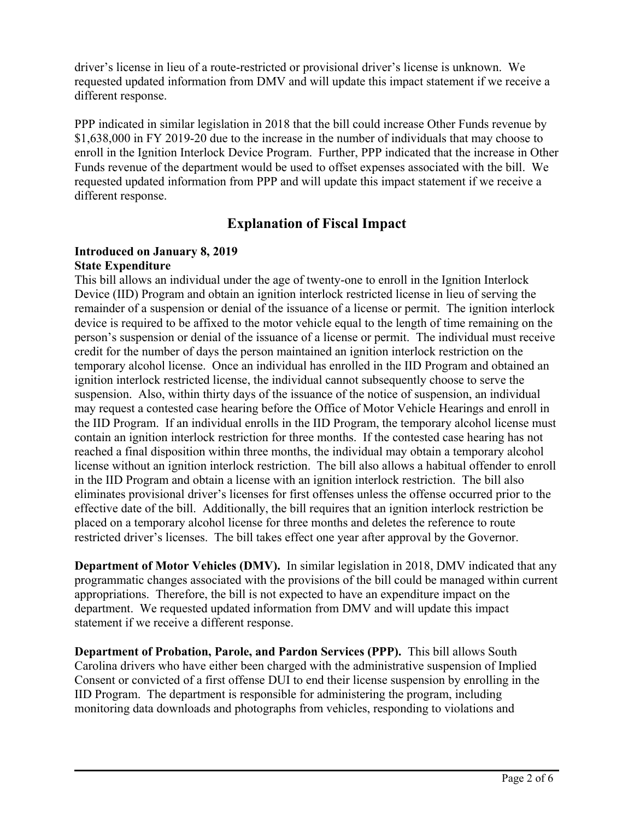driver's license in lieu of a route-restricted or provisional driver's license is unknown. We requested updated information from DMV and will update this impact statement if we receive a different response.

PPP indicated in similar legislation in 2018 that the bill could increase Other Funds revenue by \$1,638,000 in FY 2019-20 due to the increase in the number of individuals that may choose to enroll in the Ignition Interlock Device Program. Further, PPP indicated that the increase in Other Funds revenue of the department would be used to offset expenses associated with the bill. We requested updated information from PPP and will update this impact statement if we receive a different response.

## **Explanation of Fiscal Impact**

#### **Introduced on January 8, 2019 State Expenditure**

This bill allows an individual under the age of twenty-one to enroll in the Ignition Interlock Device (IID) Program and obtain an ignition interlock restricted license in lieu of serving the remainder of a suspension or denial of the issuance of a license or permit. The ignition interlock device is required to be affixed to the motor vehicle equal to the length of time remaining on the person's suspension or denial of the issuance of a license or permit. The individual must receive credit for the number of days the person maintained an ignition interlock restriction on the temporary alcohol license. Once an individual has enrolled in the IID Program and obtained an ignition interlock restricted license, the individual cannot subsequently choose to serve the suspension. Also, within thirty days of the issuance of the notice of suspension, an individual may request a contested case hearing before the Office of Motor Vehicle Hearings and enroll in the IID Program. If an individual enrolls in the IID Program, the temporary alcohol license must contain an ignition interlock restriction for three months. If the contested case hearing has not reached a final disposition within three months, the individual may obtain a temporary alcohol license without an ignition interlock restriction. The bill also allows a habitual offender to enroll in the IID Program and obtain a license with an ignition interlock restriction. The bill also eliminates provisional driver's licenses for first offenses unless the offense occurred prior to the effective date of the bill. Additionally, the bill requires that an ignition interlock restriction be placed on a temporary alcohol license for three months and deletes the reference to route restricted driver's licenses. The bill takes effect one year after approval by the Governor.

**Department of Motor Vehicles (DMV).** In similar legislation in 2018, DMV indicated that any programmatic changes associated with the provisions of the bill could be managed within current appropriations. Therefore, the bill is not expected to have an expenditure impact on the department. We requested updated information from DMV and will update this impact statement if we receive a different response.

**Department of Probation, Parole, and Pardon Services (PPP).** This bill allows South Carolina drivers who have either been charged with the administrative suspension of Implied Consent or convicted of a first offense DUI to end their license suspension by enrolling in the IID Program. The department is responsible for administering the program, including monitoring data downloads and photographs from vehicles, responding to violations and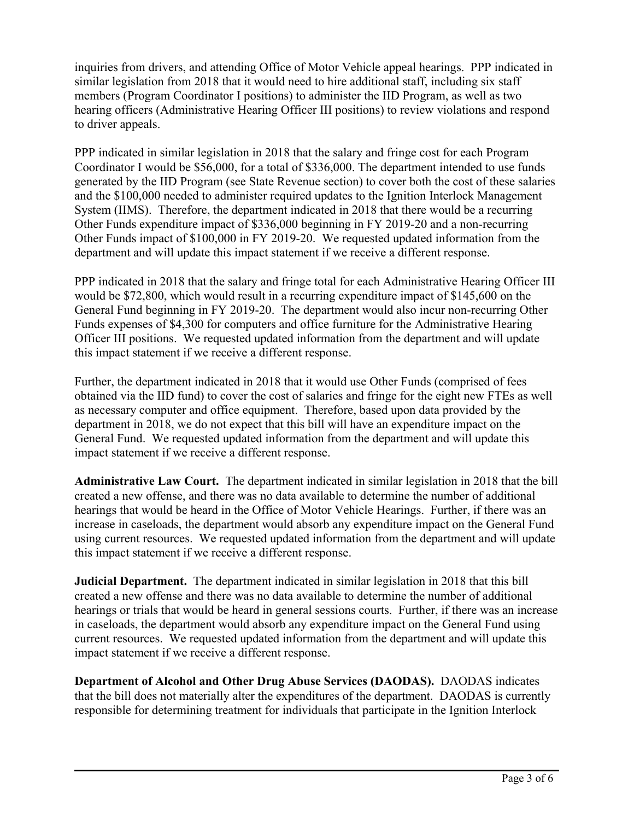inquiries from drivers, and attending Office of Motor Vehicle appeal hearings. PPP indicated in similar legislation from 2018 that it would need to hire additional staff, including six staff members (Program Coordinator I positions) to administer the IID Program, as well as two hearing officers (Administrative Hearing Officer III positions) to review violations and respond to driver appeals.

PPP indicated in similar legislation in 2018 that the salary and fringe cost for each Program Coordinator I would be \$56,000, for a total of \$336,000. The department intended to use funds generated by the IID Program (see State Revenue section) to cover both the cost of these salaries and the \$100,000 needed to administer required updates to the Ignition Interlock Management System (IIMS). Therefore, the department indicated in 2018 that there would be a recurring Other Funds expenditure impact of \$336,000 beginning in FY 2019-20 and a non-recurring Other Funds impact of \$100,000 in FY 2019-20. We requested updated information from the department and will update this impact statement if we receive a different response.

PPP indicated in 2018 that the salary and fringe total for each Administrative Hearing Officer III would be \$72,800, which would result in a recurring expenditure impact of \$145,600 on the General Fund beginning in FY 2019-20. The department would also incur non-recurring Other Funds expenses of \$4,300 for computers and office furniture for the Administrative Hearing Officer III positions. We requested updated information from the department and will update this impact statement if we receive a different response.

Further, the department indicated in 2018 that it would use Other Funds (comprised of fees obtained via the IID fund) to cover the cost of salaries and fringe for the eight new FTEs as well as necessary computer and office equipment. Therefore, based upon data provided by the department in 2018, we do not expect that this bill will have an expenditure impact on the General Fund. We requested updated information from the department and will update this impact statement if we receive a different response.

**Administrative Law Court.** The department indicated in similar legislation in 2018 that the bill created a new offense, and there was no data available to determine the number of additional hearings that would be heard in the Office of Motor Vehicle Hearings. Further, if there was an increase in caseloads, the department would absorb any expenditure impact on the General Fund using current resources. We requested updated information from the department and will update this impact statement if we receive a different response.

**Judicial Department.** The department indicated in similar legislation in 2018 that this bill created a new offense and there was no data available to determine the number of additional hearings or trials that would be heard in general sessions courts. Further, if there was an increase in caseloads, the department would absorb any expenditure impact on the General Fund using current resources. We requested updated information from the department and will update this impact statement if we receive a different response.

**Department of Alcohol and Other Drug Abuse Services (DAODAS).** DAODAS indicates that the bill does not materially alter the expenditures of the department. DAODAS is currently responsible for determining treatment for individuals that participate in the Ignition Interlock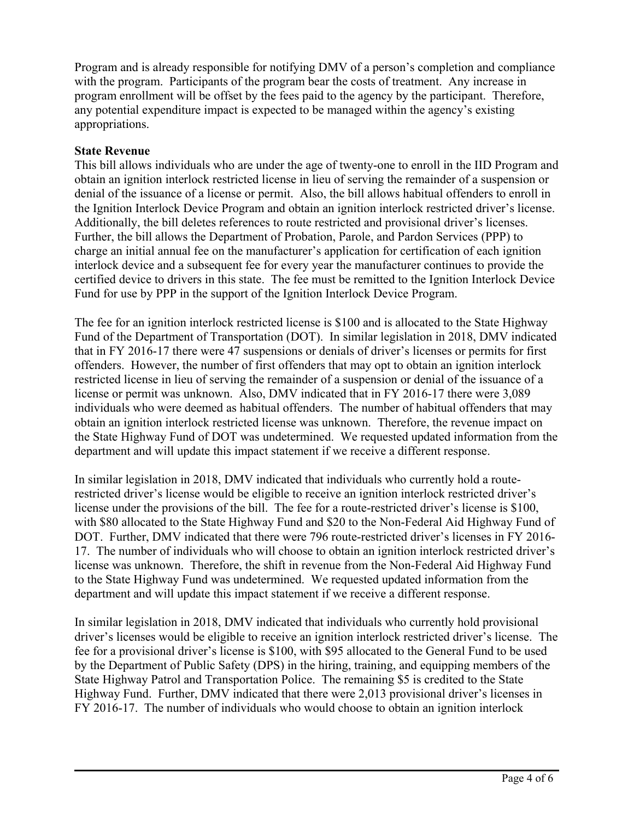Program and is already responsible for notifying DMV of a person's completion and compliance with the program. Participants of the program bear the costs of treatment. Any increase in program enrollment will be offset by the fees paid to the agency by the participant. Therefore, any potential expenditure impact is expected to be managed within the agency's existing appropriations.

#### **State Revenue**

This bill allows individuals who are under the age of twenty-one to enroll in the IID Program and obtain an ignition interlock restricted license in lieu of serving the remainder of a suspension or denial of the issuance of a license or permit. Also, the bill allows habitual offenders to enroll in the Ignition Interlock Device Program and obtain an ignition interlock restricted driver's license. Additionally, the bill deletes references to route restricted and provisional driver's licenses. Further, the bill allows the Department of Probation, Parole, and Pardon Services (PPP) to charge an initial annual fee on the manufacturer's application for certification of each ignition interlock device and a subsequent fee for every year the manufacturer continues to provide the certified device to drivers in this state. The fee must be remitted to the Ignition Interlock Device Fund for use by PPP in the support of the Ignition Interlock Device Program.

The fee for an ignition interlock restricted license is \$100 and is allocated to the State Highway Fund of the Department of Transportation (DOT). In similar legislation in 2018, DMV indicated that in FY 2016-17 there were 47 suspensions or denials of driver's licenses or permits for first offenders. However, the number of first offenders that may opt to obtain an ignition interlock restricted license in lieu of serving the remainder of a suspension or denial of the issuance of a license or permit was unknown. Also, DMV indicated that in FY 2016-17 there were 3,089 individuals who were deemed as habitual offenders. The number of habitual offenders that may obtain an ignition interlock restricted license was unknown. Therefore, the revenue impact on the State Highway Fund of DOT was undetermined. We requested updated information from the department and will update this impact statement if we receive a different response.

In similar legislation in 2018, DMV indicated that individuals who currently hold a routerestricted driver's license would be eligible to receive an ignition interlock restricted driver's license under the provisions of the bill. The fee for a route-restricted driver's license is \$100, with \$80 allocated to the State Highway Fund and \$20 to the Non-Federal Aid Highway Fund of DOT. Further, DMV indicated that there were 796 route-restricted driver's licenses in FY 2016- 17. The number of individuals who will choose to obtain an ignition interlock restricted driver's license was unknown. Therefore, the shift in revenue from the Non-Federal Aid Highway Fund to the State Highway Fund was undetermined. We requested updated information from the department and will update this impact statement if we receive a different response.

In similar legislation in 2018, DMV indicated that individuals who currently hold provisional driver's licenses would be eligible to receive an ignition interlock restricted driver's license. The fee for a provisional driver's license is \$100, with \$95 allocated to the General Fund to be used by the Department of Public Safety (DPS) in the hiring, training, and equipping members of the State Highway Patrol and Transportation Police. The remaining \$5 is credited to the State Highway Fund. Further, DMV indicated that there were 2,013 provisional driver's licenses in FY 2016-17. The number of individuals who would choose to obtain an ignition interlock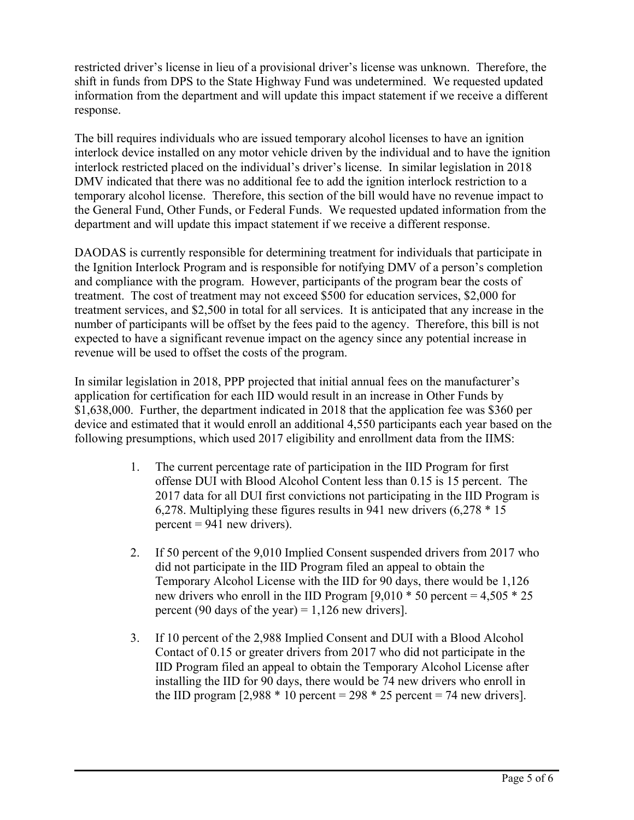restricted driver's license in lieu of a provisional driver's license was unknown. Therefore, the shift in funds from DPS to the State Highway Fund was undetermined. We requested updated information from the department and will update this impact statement if we receive a different response.

The bill requires individuals who are issued temporary alcohol licenses to have an ignition interlock device installed on any motor vehicle driven by the individual and to have the ignition interlock restricted placed on the individual's driver's license. In similar legislation in 2018 DMV indicated that there was no additional fee to add the ignition interlock restriction to a temporary alcohol license. Therefore, this section of the bill would have no revenue impact to the General Fund, Other Funds, or Federal Funds. We requested updated information from the department and will update this impact statement if we receive a different response.

DAODAS is currently responsible for determining treatment for individuals that participate in the Ignition Interlock Program and is responsible for notifying DMV of a person's completion and compliance with the program. However, participants of the program bear the costs of treatment. The cost of treatment may not exceed \$500 for education services, \$2,000 for treatment services, and \$2,500 in total for all services. It is anticipated that any increase in the number of participants will be offset by the fees paid to the agency. Therefore, this bill is not expected to have a significant revenue impact on the agency since any potential increase in revenue will be used to offset the costs of the program.

In similar legislation in 2018, PPP projected that initial annual fees on the manufacturer's application for certification for each IID would result in an increase in Other Funds by \$1,638,000. Further, the department indicated in 2018 that the application fee was \$360 per device and estimated that it would enroll an additional 4,550 participants each year based on the following presumptions, which used 2017 eligibility and enrollment data from the IIMS:

- 1. The current percentage rate of participation in the IID Program for first offense DUI with Blood Alcohol Content less than 0.15 is 15 percent. The 2017 data for all DUI first convictions not participating in the IID Program is 6,278. Multiplying these figures results in 941 new drivers (6,278 \* 15  $percent = 941$  new drivers).
- 2. If 50 percent of the 9,010 Implied Consent suspended drivers from 2017 who did not participate in the IID Program filed an appeal to obtain the Temporary Alcohol License with the IID for 90 days, there would be 1,126 new drivers who enroll in the IID Program  $[9,010 * 50$  percent = 4,505  $* 25$ percent (90 days of the year) =  $1,126$  new drivers].
- 3. If 10 percent of the 2,988 Implied Consent and DUI with a Blood Alcohol Contact of 0.15 or greater drivers from 2017 who did not participate in the IID Program filed an appeal to obtain the Temporary Alcohol License after installing the IID for 90 days, there would be 74 new drivers who enroll in the IID program  $[2,988 * 10$  percent = 298  $* 25$  percent = 74 new drivers].